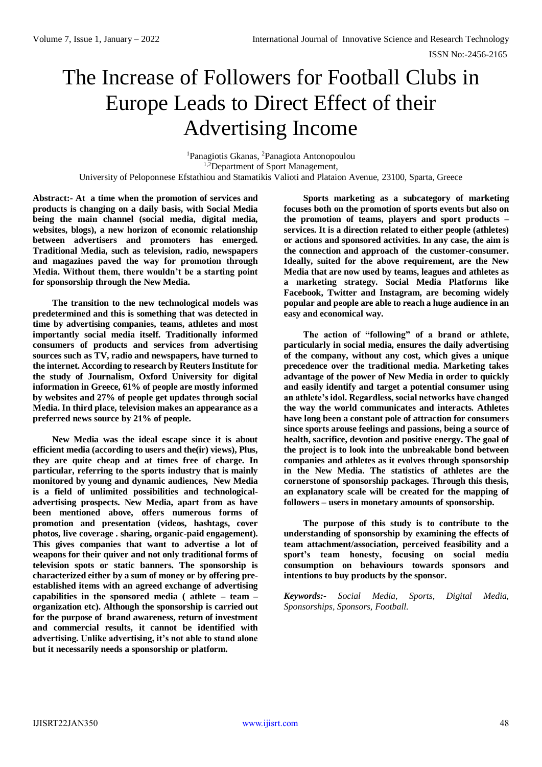# The Increase of Followers for Football Clubs in Europe Leads to Direct Effect of their Advertising Income

<sup>1</sup>Panagiotis Gkanas, <sup>2</sup>Panagiota Antonopoulou <sup>1,2</sup>Department of Sport Management, University of Peloponnese Efstathiou and Stamatikis Valioti and Plataion Avenue, 23100, Sparta, Greece

**Abstract:- At a time when the promotion of services and products is changing on a daily basis, with Social Media being the main channel (social media, digital media, websites, blogs), a new horizon of economic relationship between advertisers and promoters has emerged. Traditional Media, such as television, radio, newspapers and magazines paved the way for promotion through Media. Without them, there wouldn't be a starting point for sponsorship through the New Media.** 

**The transition to the new technological models was predetermined and this is something that was detected in time by advertising companies, teams, athletes and most importantly social media itself. Traditionally informed consumers of products and services from advertising sources such as TV, radio and newspapers, have turned to the internet. According to research by Reuters Institute for the study of Journalism, Oxford University for digital information in Greece, 61% of people are mostly informed by websites and 27% of people get updates through social Media. In third place, television makes an appearance as a preferred news source by 21% of people.**

**New Media was the ideal escape since it is about efficient media (according to users and the(ir) views), Plus, they are quite cheap and at times free of charge. In particular, referring to the sports industry that is mainly monitored by young and dynamic audiences, New Media is a field of unlimited possibilities and technologicaladvertising prospects. New Media, apart from as have been mentioned above, offers numerous forms of promotion and presentation (videos, hashtags, cover photos, live coverage . sharing, organic-paid engagement). This gives companies that want to advertise a lot of weapons for their quiver and not only traditional forms of television spots or static banners. The sponsorship is characterized either by a sum of money or by offering preestablished items with an agreed exchange of advertising capabilities in the sponsored media ( athlete – team – organization etc). Although the sponsorship is carried out for the purpose of brand awareness, return of investment and commercial results, it cannot be identified with advertising. Unlike advertising, it's not able to stand alone but it necessarily needs a sponsorship or platform.** 

**Sports marketing as a subcategory of marketing focuses both on the promotion of sports events but also on the promotion of teams, players and sport products – services. It is a direction related to either people (athletes) or actions and sponsored activities. In any case, the aim is the connection and approach of the customer-consumer. Ideally, suited for the above requirement, are the New Media that are now used by teams, leagues and athletes as a marketing strategy. Social Media Platforms like Facebook, Twitter and Instagram, are becoming widely popular and people are able to reach a huge audience in an easy and economical way.** 

**The action of "following" of a brand or athlete, particularly in social media, ensures the daily advertising of the company, without any cost, which gives a unique precedence over the traditional media. Marketing takes advantage of the power of New Media in order to quickly and easily identify and target a potential consumer using an athlete's idol. Regardless, social networks have changed the way the world communicates and interacts. Athletes have long been a constant pole of attraction for consumers since sports arouse feelings and passions, being a source of health, sacrifice, devotion and positive energy. The goal of the project is to look into the unbreakable bond between companies and athletes as it evolves through sponsorship in the New Media. The statistics of athletes are the cornerstone of sponsorship packages. Through this thesis, an explanatory scale will be created for the mapping of followers – users in monetary amounts of sponsorship.** 

**The purpose of this study is to contribute to the understanding of sponsorship by examining the effects of team attachment/association, perceived feasibility and a sport's team honesty, focusing on social media consumption on behaviours towards sponsors and intentions to buy products by the sponsor.** 

*Keywords:- Social Media, Sports, Digital Media, Sponsorships, Sponsors, Football.*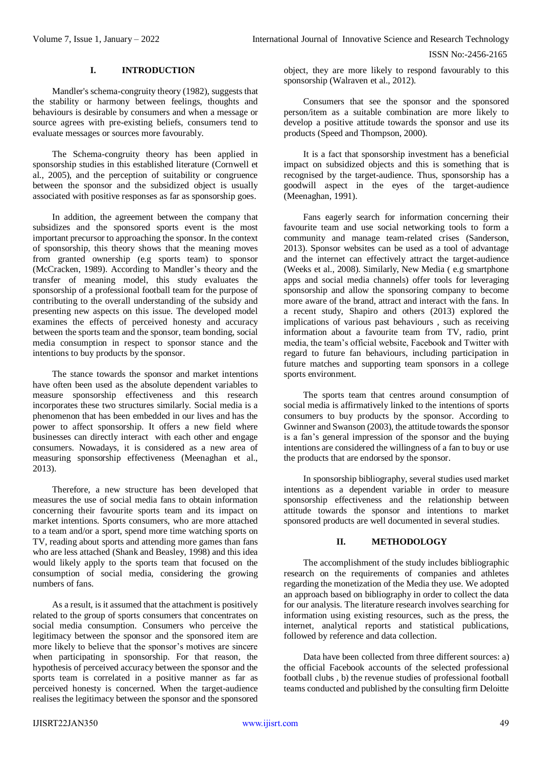ISSN No:-2456-2165

# **I. INTRODUCTION**

Mandler's schema-congruity theory (1982), suggests that the stability or harmony between feelings, thoughts and behaviours is desirable by consumers and when a message or source agrees with pre-existing beliefs, consumers tend to evaluate messages or sources more favourably.

The Schema-congruity theory has been applied in sponsorship studies in this established literature (Cornwell et al., 2005), and the perception of suitability or congruence between the sponsor and the subsidized object is usually associated with positive responses as far as sponsorship goes.

In addition, the agreement between the company that subsidizes and the sponsored sports event is the most important precursor to approaching the sponsor. In the context of sponsorship, this theory shows that the meaning moves from granted ownership (e.g sports team) to sponsor (McCracken, 1989). According to Mandler's theory and the transfer of meaning model, this study evaluates the sponsorship of a professional football team for the purpose of contributing to the overall understanding of the subsidy and presenting new aspects on this issue. The developed model examines the effects of perceived honesty and accuracy between the sports team and the sponsor, team bonding, social media consumption in respect to sponsor stance and the intentions to buy products by the sponsor.

The stance towards the sponsor and market intentions have often been used as the absolute dependent variables to measure sponsorship effectiveness and this research incorporates these two structures similarly. Social media is a phenomenon that has been embedded in our lives and has the power to affect sponsorship. It offers a new field where businesses can directly interact with each other and engage consumers. Nowadays, it is considered as a new area of measuring sponsorship effectiveness (Meenaghan et al., 2013).

Therefore, a new structure has been developed that measures the use of social media fans to obtain information concerning their favourite sports team and its impact on market intentions. Sports consumers, who are more attached to a team and/or a sport, spend more time watching sports on TV, reading about sports and attending more games than fans who are less attached (Shank and Beasley, 1998) and this idea would likely apply to the sports team that focused on the consumption of social media, considering the growing numbers of fans.

As a result, is it assumed that the attachment is positively related to the group of sports consumers that concentrates on social media consumption. Consumers who perceive the legitimacy between the sponsor and the sponsored item are more likely to believe that the sponsor's motives are sincere when participating in sponsorship. For that reason, the hypothesis of perceived accuracy between the sponsor and the sports team is correlated in a positive manner as far as perceived honesty is concerned. When the target-audience realises the legitimacy between the sponsor and the sponsored object, they are more likely to respond favourably to this sponsorship (Walraven et al., 2012).

Consumers that see the sponsor and the sponsored person/item as a suitable combination are more likely to develop a positive attitude towards the sponsor and use its products (Speed and Thompson, 2000).

It is a fact that sponsorship investment has a beneficial impact on subsidized objects and this is something that is recognised by the target-audience. Thus, sponsorship has a goodwill aspect in the eyes of the target-audience (Meenaghan, 1991).

Fans eagerly search for information concerning their favourite team and use social networking tools to form a community and manage team-related crises (Sanderson, 2013). Sponsor websites can be used as a tool of advantage and the internet can effectively attract the target-audience (Weeks et al., 2008). Similarly, New Media ( e.g smartphone apps and social media channels) offer tools for leveraging sponsorship and allow the sponsoring company to become more aware of the brand, attract and interact with the fans. In a recent study, Shapiro and others (2013) explored the implications of various past behaviours , such as receiving information about a favourite team from TV, radio, print media, the team's official website, Facebook and Twitter with regard to future fan behaviours, including participation in future matches and supporting team sponsors in a college sports environment.

The sports team that centres around consumption of social media is affirmatively linked to the intentions of sports consumers to buy products by the sponsor. According to Gwinner and Swanson (2003), the attitude towards the sponsor is a fan's general impression of the sponsor and the buying intentions are considered the willingness of a fan to buy or use the products that are endorsed by the sponsor.

In sponsorship bibliography, several studies used market intentions as a dependent variable in order to measure sponsorship effectiveness and the relationship between attitude towards the sponsor and intentions to market sponsored products are well documented in several studies.

# **II. METHODOLOGY**

The accomplishment of the study includes bibliographic research on the requirements of companies and athletes regarding the monetization of the Media they use. We adopted an approach based on bibliography in order to collect the data for our analysis. The literature research involves searching for information using existing resources, such as the press, the internet, analytical reports and statistical publications, followed by reference and data collection.

Data have been collected from three different sources: a) the official Facebook accounts of the selected professional football clubs , b) the revenue studies of professional football teams conducted and published by the consulting firm Deloitte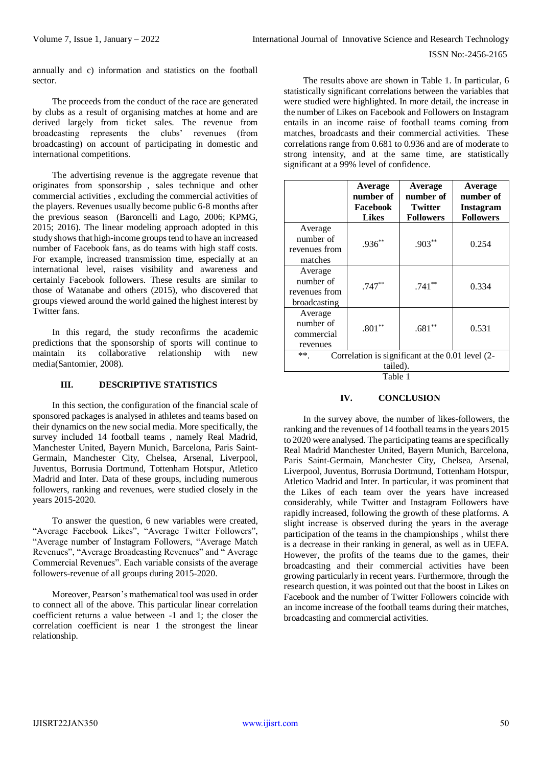annually and c) information and statistics on the football sector.

The proceeds from the conduct of the race are generated by clubs as a result of organising matches at home and are derived largely from ticket sales. The revenue from broadcasting represents the clubs' revenues (from broadcasting) on account of participating in domestic and international competitions.

The advertising revenue is the aggregate revenue that originates from sponsorship , sales technique and other commercial activities , excluding the commercial activities of the players. Revenues usually become public 6-8 months after the previous season (Baroncelli and Lago, 2006; KPMG, 2015; 2016). The linear modeling approach adopted in this study shows that high-income groups tend to have an increased number of Facebook fans, as do teams with high staff costs. For example, increased transmission time, especially at an international level, raises visibility and awareness and certainly Facebook followers. These results are similar to those of Watanabe and others (2015), who discovered that groups viewed around the world gained the highest interest by Twitter fans.

In this regard, the study reconfirms the academic predictions that the sponsorship of sports will continue to maintain its collaborative relationship with new media(Santomier, 2008).

# **III. DESCRIPTIVE STATISTICS**

In this section, the configuration of the financial scale of sponsored packages is analysed in athletes and teams based on their dynamics on the new social media. More specifically, the survey included 14 football teams , namely Real Madrid, Manchester United, Bayern Munich, Barcelona, Paris Saint-Germain, Manchester City, Chelsea, Arsenal, Liverpool, Juventus, Borrusia Dortmund, Tottenham Hotspur, Atletico Madrid and Inter. Data of these groups, including numerous followers, ranking and revenues, were studied closely in the years 2015-2020.

To answer the question, 6 new variables were created, "Average Facebook Likes", "Average Twitter Followers", "Average number of Instagram Followers, "Average Match Revenues", "Average Broadcasting Revenues" and " Average Commercial Revenues". Each variable consists of the average followers-revenue of all groups during 2015-2020.

Moreover, Pearson's mathematical tool was used in order to connect all of the above. This particular linear correlation coefficient returns a value between -1 and 1; the closer the correlation coefficient is near 1 the strongest the linear relationship.

The results above are shown in Table 1. In particular, 6 statistically significant correlations between the variables that were studied were highlighted. In more detail, the increase in the number of Likes on Facebook and Followers on Instagram entails in an income raise of football teams coming from matches, broadcasts and their commercial activities. These correlations range from 0.681 to 0.936 and are of moderate to strong intensity, and at the same time, are statistically significant at a 99% level of confidence.

| Average<br>number of<br>Facebook<br><b>Likes</b>                      | Average<br>number of<br><b>Twitter</b><br><b>Followers</b> | Average<br>number of<br>Instagram<br><b>Followers</b> |
|-----------------------------------------------------------------------|------------------------------------------------------------|-------------------------------------------------------|
| $.936***$                                                             | $.903**$                                                   | 0.254                                                 |
| $.747**$                                                              | $.741**$                                                   | 0.334                                                 |
| $.801**$                                                              | $.681**$                                                   | 0.531                                                 |
| Correlation is significant at the 0.01 level (2-<br>$***$<br>tailed). |                                                            |                                                       |
|                                                                       |                                                            | Table 1                                               |

# **IV. CONCLUSION**

In the survey above, the number of likes-followers, the ranking and the revenues of 14 football teams in the years 2015 to 2020 were analysed. The participating teams are specifically Real Madrid Manchester United, Bayern Munich, Barcelona, Paris Saint-Germain, Manchester City, Chelsea, Arsenal, Liverpool, Juventus, Borrusia Dortmund, Tottenham Hotspur, Atletico Madrid and Inter. In particular, it was prominent that the Likes of each team over the years have increased considerably, while Twitter and Instagram Followers have rapidly increased, following the growth of these platforms. A slight increase is observed during the years in the average participation of the teams in the championships , whilst there is a decrease in their ranking in general, as well as in UEFA. However, the profits of the teams due to the games, their broadcasting and their commercial activities have been growing particularly in recent years. Furthermore, through the research question, it was pointed out that the boost in Likes on Facebook and the number of Twitter Followers coincide with an income increase of the football teams during their matches, broadcasting and commercial activities.